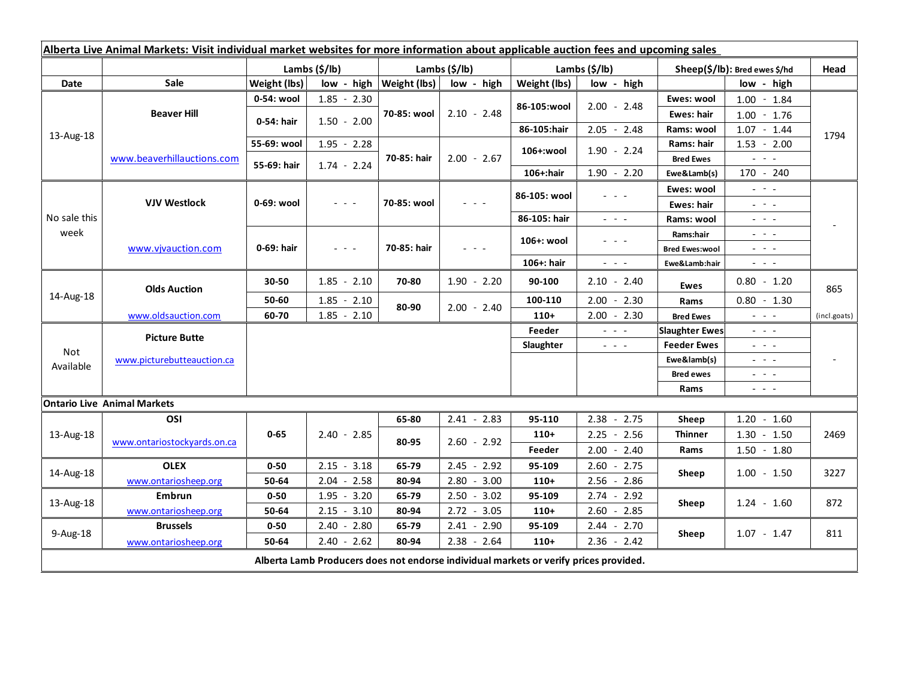| Alberta Live Animal Markets: Visit individual market websites for more information about applicable auction fees and upcoming sales |                                    |               |               |                              |               |                           |                                                                                                                           |                               |                                                                                                                           |              |
|-------------------------------------------------------------------------------------------------------------------------------------|------------------------------------|---------------|---------------|------------------------------|---------------|---------------------------|---------------------------------------------------------------------------------------------------------------------------|-------------------------------|---------------------------------------------------------------------------------------------------------------------------|--------------|
|                                                                                                                                     |                                    | Lambs (\$/lb) |               | Lambs $(S/lb)$               |               | Lambs $(\frac{2}{3})$ lb) |                                                                                                                           | Sheep(\$/lb): Bred ewes \$/hd |                                                                                                                           | Head         |
| Date                                                                                                                                | <b>Sale</b>                        | Weight (lbs)  |               | $low - high   Weight (lbs) $ | low - high    | Weight (lbs)              | low - high                                                                                                                |                               | low - high                                                                                                                |              |
| 13-Aug-18                                                                                                                           | <b>Beaver Hill</b>                 | 0-54: wool    | $1.85 - 2.30$ | 70-85: wool                  | $2.10 - 2.48$ |                           | $2.00 - 2.48$                                                                                                             | Ewes: wool                    | $1.00 - 1.84$                                                                                                             | 1794         |
|                                                                                                                                     |                                    | 0-54: hair    | $1.50 - 2.00$ |                              |               | 86-105:wool               |                                                                                                                           | <b>Ewes: hair</b>             | $1.00 - 1.76$                                                                                                             |              |
|                                                                                                                                     |                                    |               |               |                              |               | 86-105:hair               | $2.05 - 2.48$                                                                                                             | Rams: wool                    | $1.07 - 1.44$                                                                                                             |              |
|                                                                                                                                     | www.beaverhillauctions.com         | 55-69: wool   | $1.95 - 2.28$ | 70-85: hair                  | $2.00 - 2.67$ | 106+:wool                 | $1.90 - 2.24$                                                                                                             | Rams: hair                    | $1.53 - 2.00$                                                                                                             |              |
|                                                                                                                                     |                                    | 55-69: hair   | $1.74 - 2.24$ |                              |               |                           |                                                                                                                           | <b>Bred Ewes</b>              | $\frac{1}{2} \left( \frac{1}{2} \right) \left( \frac{1}{2} \right) \left( \frac{1}{2} \right) \left( \frac{1}{2} \right)$ |              |
|                                                                                                                                     |                                    |               |               |                              |               | 106+:hair                 | $1.90 - 2.20$                                                                                                             | Ewe&Lamb(s)                   | 170 - 240                                                                                                                 |              |
| No sale this<br>week                                                                                                                | <b>VJV Westlock</b>                | 0-69: wool    | $ -$          | 70-85: wool                  |               | 86-105: wool              | - - -                                                                                                                     | Ewes: wool                    | $\mathbb{L}^2 \times \mathbb{L}^2$                                                                                        |              |
|                                                                                                                                     |                                    |               |               |                              |               |                           |                                                                                                                           | Ewes: hair                    | 2002                                                                                                                      |              |
|                                                                                                                                     |                                    |               |               |                              |               | 86-105: hair              | $\frac{1}{2} \left( \frac{1}{2} \right) = \frac{1}{2} \left( \frac{1}{2} \right)$                                         | Rams: wool                    | $\frac{1}{2} \left( \frac{1}{2} \right) = \frac{1}{2} \left( \frac{1}{2} \right)$                                         |              |
|                                                                                                                                     | www.vivauction.com                 | 0-69: hair    | $  -$         | 70-85: hair                  | - - -         | 106+: wool                | - - -                                                                                                                     | Rams:hair                     | $  -$                                                                                                                     |              |
|                                                                                                                                     |                                    |               |               |                              |               |                           |                                                                                                                           | <b>Bred Ewes:wool</b>         | $ -$                                                                                                                      |              |
|                                                                                                                                     |                                    |               |               |                              |               | 106+: hair                | $\frac{1}{2} \left( \frac{1}{2} \right) \left( \frac{1}{2} \right) \left( \frac{1}{2} \right) \left( \frac{1}{2} \right)$ | Ewe&Lamb:hair                 | $\frac{1}{2} \left( \frac{1}{2} \right) \left( \frac{1}{2} \right) \left( \frac{1}{2} \right) \left( \frac{1}{2} \right)$ |              |
| 14-Aug-18                                                                                                                           | <b>Olds Auction</b>                | 30-50         | $1.85 - 2.10$ | 70-80                        | $1.90 - 2.20$ | 90-100                    | $2.10 - 2.40$                                                                                                             | <b>Ewes</b>                   | $0.80 - 1.20$                                                                                                             | 865          |
|                                                                                                                                     |                                    | 50-60         | $1.85 - 2.10$ | 80-90                        | $2.00 - 2.40$ | 100-110                   | $2.00 - 2.30$                                                                                                             | Rams                          | $0.80 - 1.30$                                                                                                             |              |
|                                                                                                                                     | www.oldsauction.com                | 60-70         | $1.85 - 2.10$ |                              |               | $110+$                    | $2.00 - 2.30$                                                                                                             | <b>Bred Ewes</b>              | $\omega_{\rm{c}}$ and $\omega_{\rm{c}}$                                                                                   | (incl.goats) |
| <b>Not</b><br>Available                                                                                                             | <b>Picture Butte</b>               |               |               |                              |               | Feeder                    | $\omega_{\rm c}$ , $\omega_{\rm c}$ , $\omega_{\rm c}$                                                                    | <b>Slaughter Ewes</b>         | $\omega_{\rm{eff}}$ and $\omega_{\rm{eff}}$                                                                               |              |
|                                                                                                                                     | www.picturebutteauction.ca         |               |               |                              |               | Slaughter                 | $\frac{1}{2} \left( \frac{1}{2} \right) \left( \frac{1}{2} \right) \left( \frac{1}{2} \right) \left( \frac{1}{2} \right)$ | <b>Feeder Ewes</b>            | $\omega_{\rm{eff}}$ and $\omega_{\rm{eff}}$                                                                               |              |
|                                                                                                                                     |                                    |               |               |                              |               |                           |                                                                                                                           | Ewe&lamb(s)                   | $\frac{1}{2} \left( \frac{1}{2} \right) = \frac{1}{2} \left( \frac{1}{2} \right)$                                         |              |
|                                                                                                                                     |                                    |               |               |                              |               |                           |                                                                                                                           | <b>Bred ewes</b>              | $\frac{1}{2} \left( \frac{1}{2} \right) = \frac{1}{2} \left( \frac{1}{2} \right)$                                         |              |
|                                                                                                                                     |                                    |               |               |                              |               |                           |                                                                                                                           | Rams                          | $\frac{1}{2} \left( \frac{1}{2} \right) = \frac{1}{2} \left( \frac{1}{2} \right)$                                         |              |
|                                                                                                                                     | <b>Ontario Live Animal Markets</b> |               |               |                              |               |                           |                                                                                                                           |                               |                                                                                                                           |              |
| 13-Aug-18                                                                                                                           | OSI                                | $0 - 65$      | $2.40 - 2.85$ | 65-80                        | $2.41 - 2.83$ | 95-110                    | $2.38 - 2.75$                                                                                                             | Sheep                         | $1.20 - 1.60$                                                                                                             | 2469         |
|                                                                                                                                     | www.ontariostockyards.on.ca        |               |               | 80-95                        | $2.60 - 2.92$ | $110+$                    | $2.25 - 2.56$                                                                                                             | <b>Thinner</b><br>Rams        | $1.30 - 1.50$                                                                                                             |              |
|                                                                                                                                     |                                    |               |               |                              |               | Feeder                    | $2.00 - 2.40$                                                                                                             |                               | $1.50 - 1.80$                                                                                                             |              |
| 14-Aug-18                                                                                                                           | <b>OLEX</b>                        | $0 - 50$      | $2.15 - 3.18$ | 65-79                        | $2.45 - 2.92$ | 95-109                    | $2.60 - 2.75$                                                                                                             | Sheep                         | $1.00 - 1.50$                                                                                                             | 3227         |
|                                                                                                                                     | www.ontariosheep.org               | 50-64         | $2.04 - 2.58$ | 80-94                        | $2.80 - 3.00$ | $110+$                    | $2.56 - 2.86$                                                                                                             |                               |                                                                                                                           |              |
| 13-Aug-18                                                                                                                           | <b>Embrun</b>                      | $0 - 50$      | $1.95 - 3.20$ | 65-79                        | $2.50 - 3.02$ | 95-109                    | $2.74 - 2.92$                                                                                                             | Sheep                         | $1.24 - 1.60$                                                                                                             | 872          |
|                                                                                                                                     | www.ontariosheep.org               | 50-64         | $2.15 - 3.10$ | 80-94                        | $2.72 - 3.05$ | $110+$                    | $2.60 - 2.85$                                                                                                             |                               |                                                                                                                           |              |
| 9-Aug-18                                                                                                                            | <b>Brussels</b>                    | $0 - 50$      | $2.40 - 2.80$ | 65-79                        | $2.41 - 2.90$ | 95-109                    | $2.44 - 2.70$                                                                                                             | Sheep                         | $1.07 - 1.47$                                                                                                             | 811          |
|                                                                                                                                     | www.ontariosheep.org               | 50-64         | $2.40 - 2.62$ | 80-94                        | $2.38 - 2.64$ | $110+$                    | $2.36 - 2.42$                                                                                                             |                               |                                                                                                                           |              |
| Alberta Lamb Producers does not endorse individual markets or verify prices provided.                                               |                                    |               |               |                              |               |                           |                                                                                                                           |                               |                                                                                                                           |              |